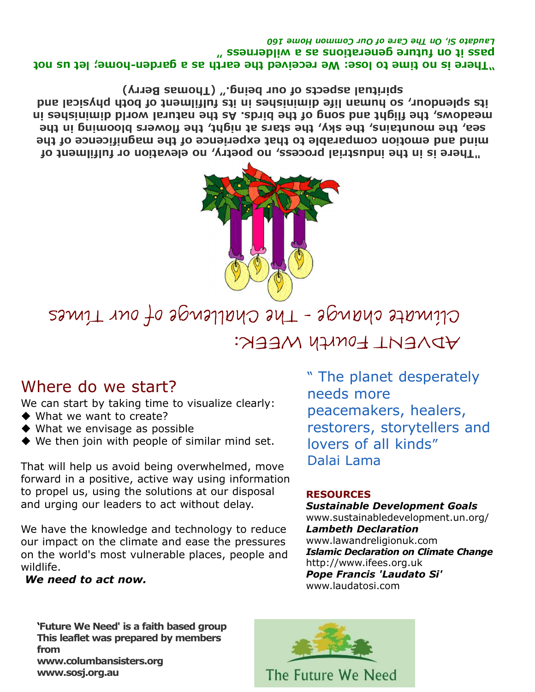Laudato Si, On The Care of Our Common Home 160 " zeomabliw a za znoitanonje na milderness" "There is no time to lose: We received the earth as a garden-home; let us not

spiritual aspects of our being." (Thomas Berry) its spleuohr, so huwan life diminishes in its fulfilment of both physical and meadows, the filght and song of the birds. As the natural world diminishes in sea, the mountains, the sky, the stars at night, the flowers blooming in the mind and emotion comparable to that experience of the magnificence of the "There is in the industrial process, no poetry, no elevation or fulfilment of



Climate change - The Challenge of our Times ADVENT FOUNTA WEEK:

### Where do we start?

We can start by taking time to visualize clearly:

- ◆ What we want to create?
- ◆ What we envisage as possible
- We then join with people of similar mind set.

That will help us avoid being overwhelmed, move forward in a positive, active way using information to propel us, using the solutions at our disposal and urging our leaders to act without delay.

We have the knowledge and technology to reduce our impact on the climate and ease the pressures on the world's most vulnerable places, people and wildlife.

We need to act now.

" The planet desperately needs more peacemakers, healers, restorers, storytellers and lovers of all kinds" Dalai Lama

#### RESOURCES

Sustainable Development Goals www.sustainabledevelopment.un.org/ Lambeth Declaration www.lawandreligionuk.com Islamic Declaration on Climate Change http://www.ifees.org.uk Pope Francis 'Laudato Si' www.laudatosi.com

'Future We Need' is a faith based group This leaflet was prepared by members from www.columbansisters.org www.sosj.org.au